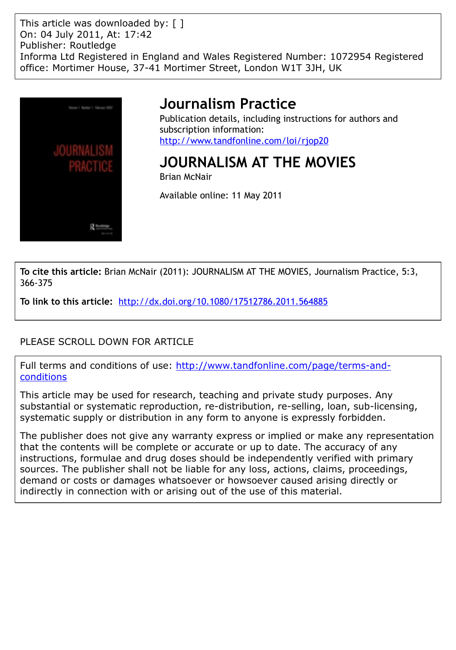This article was downloaded by: [ ] On: 04 July 2011, At: 17:42 Publisher: Routledge Informa Ltd Registered in England and Wales Registered Number: 1072954 Registered office: Mortimer House, 37-41 Mortimer Street, London W1T 3JH, UK



# **Journalism Practice**

Publication details, including instructions for authors and subscription information: <http://www.tandfonline.com/loi/rjop20>

**JOURNALISM AT THE MOVIES**

Brian McNair

Available online: 11 May 2011

**To cite this article:** Brian McNair (2011): JOURNALISM AT THE MOVIES, Journalism Practice, 5:3, 366-375

**To link to this article:** <http://dx.doi.org/10.1080/17512786.2011.564885>

## PLEASE SCROLL DOWN FOR ARTICLE

Full terms and conditions of use: [http://www.tandfonline.com/page/terms-and](http://www.tandfonline.com/page/terms-and-conditions)[conditions](http://www.tandfonline.com/page/terms-and-conditions)

This article may be used for research, teaching and private study purposes. Any substantial or systematic reproduction, re-distribution, re-selling, loan, sub-licensing, systematic supply or distribution in any form to anyone is expressly forbidden.

The publisher does not give any warranty express or implied or make any representation that the contents will be complete or accurate or up to date. The accuracy of any instructions, formulae and drug doses should be independently verified with primary sources. The publisher shall not be liable for any loss, actions, claims, proceedings, demand or costs or damages whatsoever or howsoever caused arising directly or indirectly in connection with or arising out of the use of this material.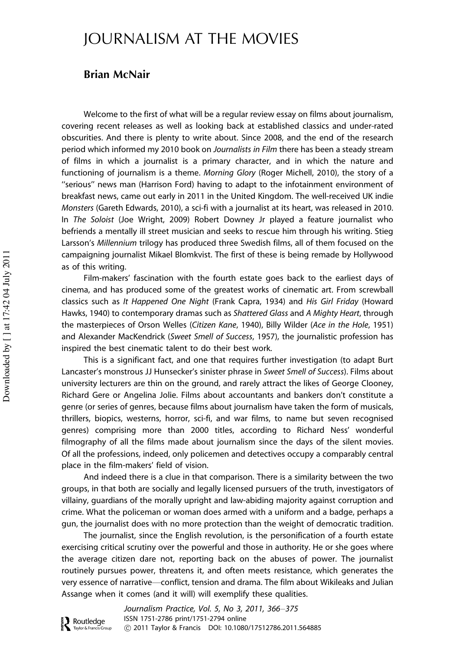## JOURNALISM AT THE MOVIES

### Brian McNair

Welcome to the first of what will be a regular review essay on films about journalism, covering recent releases as well as looking back at established classics and under-rated obscurities. And there is plenty to write about. Since 2008, and the end of the research period which informed my 2010 book on Journalists in Film there has been a steady stream of films in which a journalist is a primary character, and in which the nature and functioning of journalism is a theme. Morning Glory (Roger Michell, 2010), the story of a ''serious'' news man (Harrison Ford) having to adapt to the infotainment environment of breakfast news, came out early in 2011 in the United Kingdom. The well-received UK indie Monsters (Gareth Edwards, 2010), a sci-fi with a journalist at its heart, was released in 2010. In The Soloist (Joe Wright, 2009) Robert Downey Jr played a feature journalist who befriends a mentally ill street musician and seeks to rescue him through his writing. Stieg Larsson's Millennium trilogy has produced three Swedish films, all of them focused on the campaigning journalist Mikael Blomkvist. The first of these is being remade by Hollywood as of this writing.

Film-makers' fascination with the fourth estate goes back to the earliest days of cinema, and has produced some of the greatest works of cinematic art. From screwball classics such as It Happened One Night (Frank Capra, 1934) and His Girl Friday (Howard Hawks, 1940) to contemporary dramas such as Shattered Glass and A Mighty Heart, through the masterpieces of Orson Welles (Citizen Kane, 1940), Billy Wilder (Ace in the Hole, 1951) and Alexander MacKendrick (Sweet Smell of Success, 1957), the journalistic profession has inspired the best cinematic talent to do their best work.

This is a significant fact, and one that requires further investigation (to adapt Burt Lancaster's monstrous JJ Hunsecker's sinister phrase in Sweet Smell of Success). Films about university lecturers are thin on the ground, and rarely attract the likes of George Clooney, Richard Gere or Angelina Jolie. Films about accountants and bankers don't constitute a genre (or series of genres, because films about journalism have taken the form of musicals, thrillers, biopics, westerns, horror, sci-fi, and war films, to name but seven recognised genres) comprising more than 2000 titles, according to Richard Ness' wonderful filmography of all the films made about journalism since the days of the silent movies. Of all the professions, indeed, only policemen and detectives occupy a comparably central place in the film-makers' field of vision.

And indeed there is a clue in that comparison. There is a similarity between the two groups, in that both are socially and legally licensed pursuers of the truth, investigators of villainy, guardians of the morally upright and law-abiding majority against corruption and crime. What the policeman or woman does armed with a uniform and a badge, perhaps a gun, the journalist does with no more protection than the weight of democratic tradition.

The journalist, since the English revolution, is the personification of a fourth estate exercising critical scrutiny over the powerful and those in authority. He or she goes where the average citizen dare not, reporting back on the abuses of power. The journalist routinely pursues power, threatens it, and often meets resistance, which generates the very essence of narrative-conflict, tension and drama. The film about Wikileaks and Julian Assange when it comes (and it will) will exemplify these qualities.

Journalism Practice, Vol. 5, No 3, 2011, 366-375 ISSN 1751-2786 print/1751-2794 online  $\sum_{\text{Taylor A Francis Gre}}$ Taylor & Francis Group – 2011 Taylor & Francis DOI: 10.1080/17512786.2011.564885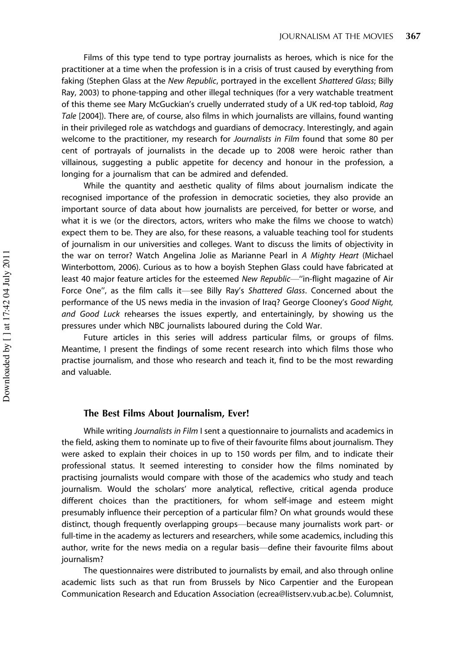Films of this type tend to type portray journalists as heroes, which is nice for the practitioner at a time when the profession is in a crisis of trust caused by everything from faking (Stephen Glass at the New Republic, portrayed in the excellent Shattered Glass; Billy Ray, 2003) to phone-tapping and other illegal techniques (for a very watchable treatment of this theme see Mary McGuckian's cruelly underrated study of a UK red-top tabloid, Rag Tale [2004]). There are, of course, also films in which journalists are villains, found wanting in their privileged role as watchdogs and guardians of democracy. Interestingly, and again welcome to the practitioner, my research for Journalists in Film found that some 80 per cent of portrayals of journalists in the decade up to 2008 were heroic rather than villainous, suggesting a public appetite for decency and honour in the profession, a longing for a journalism that can be admired and defended.

While the quantity and aesthetic quality of films about journalism indicate the recognised importance of the profession in democratic societies, they also provide an important source of data about how journalists are perceived, for better or worse, and what it is we (or the directors, actors, writers who make the films we choose to watch) expect them to be. They are also, for these reasons, a valuable teaching tool for students of journalism in our universities and colleges. Want to discuss the limits of objectivity in the war on terror? Watch Angelina Jolie as Marianne Pearl in A Mighty Heart (Michael Winterbottom, 2006). Curious as to how a boyish Stephen Glass could have fabricated at least 40 major feature articles for the esteemed New Republic-''in-flight magazine of Air Force One", as the film calls it-see Billy Ray's Shattered Glass. Concerned about the performance of the US news media in the invasion of Iraq? George Clooney's Good Night, and Good Luck rehearses the issues expertly, and entertainingly, by showing us the pressures under which NBC journalists laboured during the Cold War.

Future articles in this series will address particular films, or groups of films. Meantime, I present the findings of some recent research into which films those who practise journalism, and those who research and teach it, find to be the most rewarding and valuable.

#### The Best Films About Journalism, Ever!

While writing Journalists in Film I sent a questionnaire to journalists and academics in the field, asking them to nominate up to five of their favourite films about journalism. They were asked to explain their choices in up to 150 words per film, and to indicate their professional status. It seemed interesting to consider how the films nominated by practising journalists would compare with those of the academics who study and teach journalism. Would the scholars' more analytical, reflective, critical agenda produce different choices than the practitioners, for whom self-image and esteem might presumably influence their perception of a particular film? On what grounds would these distinct, though frequently overlapping groups—because many journalists work part- or full-time in the academy as lecturers and researchers, while some academics, including this author, write for the news media on a regular basis—define their favourite films about journalism?

The questionnaires were distributed to journalists by email, and also through online academic lists such as that run from Brussels by Nico Carpentier and the European Communication Research and Education Association (ecrea@listserv.vub.ac.be). Columnist,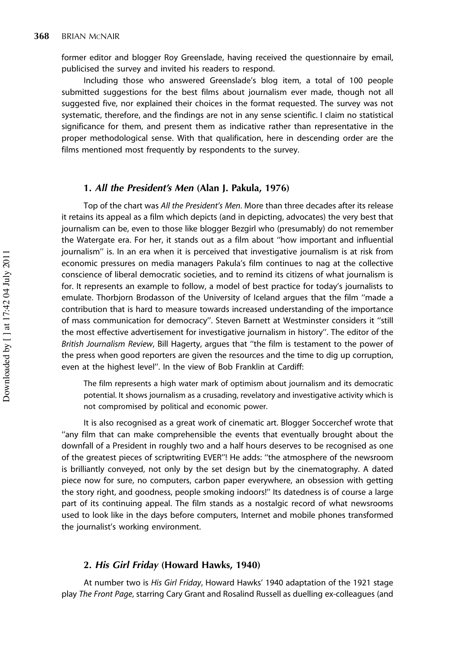former editor and blogger Roy Greenslade, having received the questionnaire by email, publicised the survey and invited his readers to respond.

Including those who answered Greenslade's blog item, a total of 100 people submitted suggestions for the best films about journalism ever made, though not all suggested five, nor explained their choices in the format requested. The survey was not systematic, therefore, and the findings are not in any sense scientific. I claim no statistical significance for them, and present them as indicative rather than representative in the proper methodological sense. With that qualification, here in descending order are the films mentioned most frequently by respondents to the survey.

#### 1. All the President's Men (Alan J. Pakula, 1976)

Top of the chart was All the President's Men. More than three decades after its release it retains its appeal as a film which depicts (and in depicting, advocates) the very best that journalism can be, even to those like blogger Bezgirl who (presumably) do not remember the Watergate era. For her, it stands out as a film about ''how important and influential journalism'' is. In an era when it is perceived that investigative journalism is at risk from economic pressures on media managers Pakula's film continues to nag at the collective conscience of liberal democratic societies, and to remind its citizens of what journalism is for. It represents an example to follow, a model of best practice for today's journalists to emulate. Thorbjorn Brodasson of the University of Iceland argues that the film ''made a contribution that is hard to measure towards increased understanding of the importance of mass communication for democracy''. Steven Barnett at Westminster considers it ''still the most effective advertisement for investigative journalism in history''. The editor of the British Journalism Review, Bill Hagerty, argues that ''the film is testament to the power of the press when good reporters are given the resources and the time to dig up corruption, even at the highest level''. In the view of Bob Franklin at Cardiff:

The film represents a high water mark of optimism about journalism and its democratic potential. It shows journalism as a crusading, revelatory and investigative activity which is not compromised by political and economic power.

It is also recognised as a great work of cinematic art. Blogger Soccerchef wrote that ''any film that can make comprehensible the events that eventually brought about the downfall of a President in roughly two and a half hours deserves to be recognised as one of the greatest pieces of scriptwriting EVER''! He adds: ''the atmosphere of the newsroom is brilliantly conveyed, not only by the set design but by the cinematography. A dated piece now for sure, no computers, carbon paper everywhere, an obsession with getting the story right, and goodness, people smoking indoors!'' Its datedness is of course a large part of its continuing appeal. The film stands as a nostalgic record of what newsrooms used to look like in the days before computers, Internet and mobile phones transformed the journalist's working environment.

#### 2. His Girl Friday (Howard Hawks, 1940)

At number two is His Girl Friday, Howard Hawks' 1940 adaptation of the 1921 stage play The Front Page, starring Cary Grant and Rosalind Russell as duelling ex-colleagues (and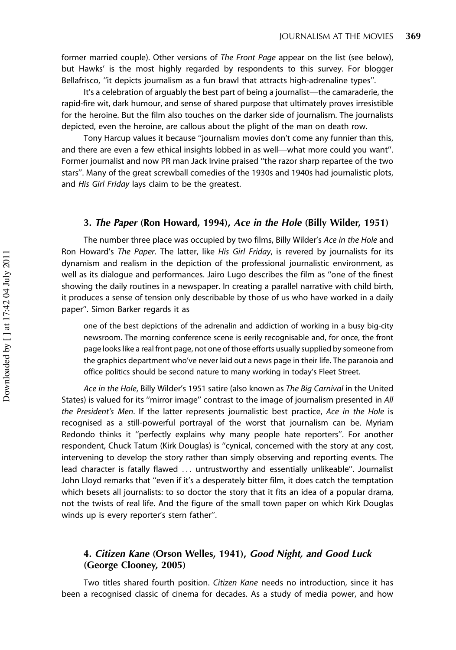former married couple). Other versions of The Front Page appear on the list (see below), but Hawks' is the most highly regarded by respondents to this survey. For blogger Bellafrisco, ''it depicts journalism as a fun brawl that attracts high-adrenaline types''.

It's a celebration of arguably the best part of being a journalist—the camaraderie, the rapid-fire wit, dark humour, and sense of shared purpose that ultimately proves irresistible for the heroine. But the film also touches on the darker side of journalism. The journalists depicted, even the heroine, are callous about the plight of the man on death row.

Tony Harcup values it because ''journalism movies don't come any funnier than this, and there are even a few ethical insights lobbed in as well—what more could you want". Former journalist and now PR man Jack Irvine praised ''the razor sharp repartee of the two stars''. Many of the great screwball comedies of the 1930s and 1940s had journalistic plots, and His Girl Friday lays claim to be the greatest.

#### 3. The Paper (Ron Howard, 1994), Ace in the Hole (Billy Wilder, 1951)

The number three place was occupied by two films, Billy Wilder's Ace in the Hole and Ron Howard's The Paper. The latter, like His Girl Friday, is revered by journalists for its dynamism and realism in the depiction of the professional journalistic environment, as well as its dialogue and performances. Jairo Lugo describes the film as ''one of the finest showing the daily routines in a newspaper. In creating a parallel narrative with child birth, it produces a sense of tension only describable by those of us who have worked in a daily paper''. Simon Barker regards it as

one of the best depictions of the adrenalin and addiction of working in a busy big-city newsroom. The morning conference scene is eerily recognisable and, for once, the front page looks like a real front page, not one of those efforts usually supplied by someone from the graphics department who've never laid out a news page in their life. The paranoia and office politics should be second nature to many working in today's Fleet Street.

Ace in the Hole, Billy Wilder's 1951 satire (also known as The Big Carnival in the United States) is valued for its ''mirror image'' contrast to the image of journalism presented in All the President's Men. If the latter represents journalistic best practice, Ace in the Hole is recognised as a still-powerful portrayal of the worst that journalism can be. Myriam Redondo thinks it ''perfectly explains why many people hate reporters''. For another respondent, Chuck Tatum (Kirk Douglas) is ''cynical, concerned with the story at any cost, intervening to develop the story rather than simply observing and reporting events. The lead character is fatally flawed ... untrustworthy and essentially unlikeable''. Journalist John Lloyd remarks that ''even if it's a desperately bitter film, it does catch the temptation which besets all journalists: to so doctor the story that it fits an idea of a popular drama, not the twists of real life. And the figure of the small town paper on which Kirk Douglas winds up is every reporter's stern father''.

#### 4. Citizen Kane (Orson Welles, 1941), Good Night, and Good Luck (George Clooney, 2005)

Two titles shared fourth position. Citizen Kane needs no introduction, since it has been a recognised classic of cinema for decades. As a study of media power, and how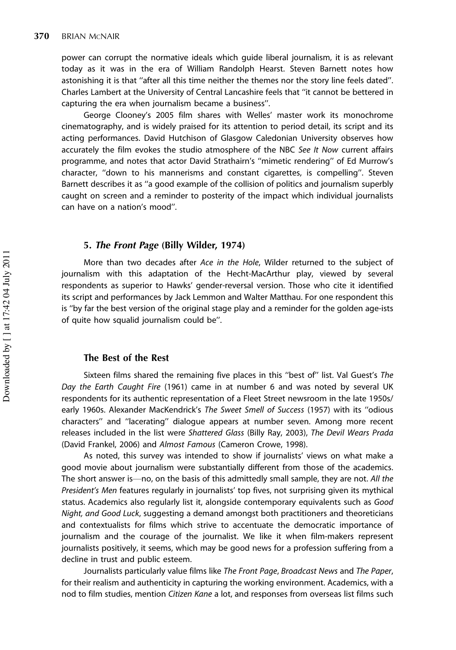power can corrupt the normative ideals which guide liberal journalism, it is as relevant today as it was in the era of William Randolph Hearst. Steven Barnett notes how astonishing it is that ''after all this time neither the themes nor the story line feels dated''. Charles Lambert at the University of Central Lancashire feels that ''it cannot be bettered in capturing the era when journalism became a business''.

George Clooney's 2005 film shares with Welles' master work its monochrome cinematography, and is widely praised for its attention to period detail, its script and its acting performances. David Hutchison of Glasgow Caledonian University observes how accurately the film evokes the studio atmosphere of the NBC See It Now current affairs programme, and notes that actor David Strathairn's ''mimetic rendering'' of Ed Murrow's character, ''down to his mannerisms and constant cigarettes, is compelling''. Steven Barnett describes it as ''a good example of the collision of politics and journalism superbly caught on screen and a reminder to posterity of the impact which individual journalists can have on a nation's mood''.

#### 5. The Front Page (Billy Wilder, 1974)

More than two decades after Ace in the Hole, Wilder returned to the subject of journalism with this adaptation of the Hecht-MacArthur play, viewed by several respondents as superior to Hawks' gender-reversal version. Those who cite it identified its script and performances by Jack Lemmon and Walter Matthau. For one respondent this is ''by far the best version of the original stage play and a reminder for the golden age-ists of quite how squalid journalism could be''.

#### The Best of the Rest

Sixteen films shared the remaining five places in this ''best of'' list. Val Guest's The Day the Earth Caught Fire (1961) came in at number 6 and was noted by several UK respondents for its authentic representation of a Fleet Street newsroom in the late 1950s/ early 1960s. Alexander MacKendrick's The Sweet Smell of Success (1957) with its ''odious characters'' and ''lacerating'' dialogue appears at number seven. Among more recent releases included in the list were Shattered Glass (Billy Ray, 2003), The Devil Wears Prada (David Frankel, 2006) and Almost Famous (Cameron Crowe, 1998).

As noted, this survey was intended to show if journalists' views on what make a good movie about journalism were substantially different from those of the academics. The short answer is-no, on the basis of this admittedly small sample, they are not. All the President's Men features regularly in journalists' top fives, not surprising given its mythical status. Academics also regularly list it, alongside contemporary equivalents such as Good Night, and Good Luck, suggesting a demand amongst both practitioners and theoreticians and contextualists for films which strive to accentuate the democratic importance of journalism and the courage of the journalist. We like it when film-makers represent journalists positively, it seems, which may be good news for a profession suffering from a decline in trust and public esteem.

Journalists particularly value films like The Front Page, Broadcast News and The Paper, for their realism and authenticity in capturing the working environment. Academics, with a nod to film studies, mention Citizen Kane a lot, and responses from overseas list films such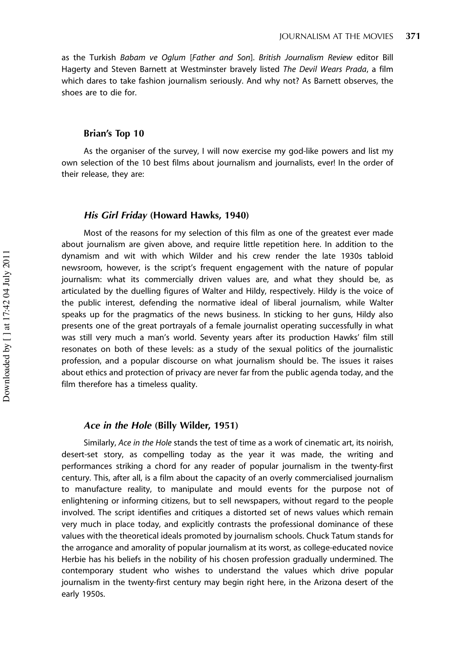as the Turkish Babam ve Oglum [Father and Son]. British Journalism Review editor Bill Hagerty and Steven Barnett at Westminster bravely listed The Devil Wears Prada, a film which dares to take fashion journalism seriously. And why not? As Barnett observes, the shoes are to die for.

#### Brian's Top 10

As the organiser of the survey, I will now exercise my god-like powers and list my own selection of the 10 best films about journalism and journalists, ever! In the order of their release, they are:

#### His Girl Friday (Howard Hawks, 1940)

Most of the reasons for my selection of this film as one of the greatest ever made about journalism are given above, and require little repetition here. In addition to the dynamism and wit with which Wilder and his crew render the late 1930s tabloid newsroom, however, is the script's frequent engagement with the nature of popular journalism: what its commercially driven values are, and what they should be, as articulated by the duelling figures of Walter and Hildy, respectively. Hildy is the voice of the public interest, defending the normative ideal of liberal journalism, while Walter speaks up for the pragmatics of the news business. In sticking to her guns, Hildy also presents one of the great portrayals of a female journalist operating successfully in what was still very much a man's world. Seventy years after its production Hawks' film still resonates on both of these levels: as a study of the sexual politics of the journalistic profession, and a popular discourse on what journalism should be. The issues it raises about ethics and protection of privacy are never far from the public agenda today, and the film therefore has a timeless quality.

#### Ace in the Hole (Billy Wilder, 1951)

Similarly, Ace in the Hole stands the test of time as a work of cinematic art, its noirish, desert-set story, as compelling today as the year it was made, the writing and performances striking a chord for any reader of popular journalism in the twenty-first century. This, after all, is a film about the capacity of an overly commercialised journalism to manufacture reality, to manipulate and mould events for the purpose not of enlightening or informing citizens, but to sell newspapers, without regard to the people involved. The script identifies and critiques a distorted set of news values which remain very much in place today, and explicitly contrasts the professional dominance of these values with the theoretical ideals promoted by journalism schools. Chuck Tatum stands for the arrogance and amorality of popular journalism at its worst, as college-educated novice Herbie has his beliefs in the nobility of his chosen profession gradually undermined. The contemporary student who wishes to understand the values which drive popular journalism in the twenty-first century may begin right here, in the Arizona desert of the early 1950s.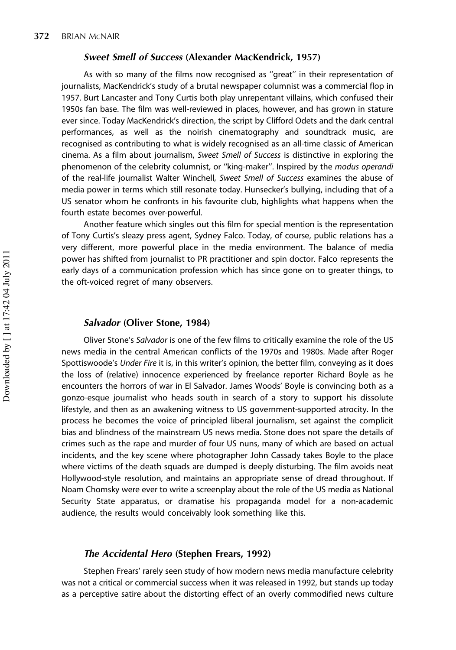#### Sweet Smell of Success (Alexander MacKendrick, 1957)

As with so many of the films now recognised as ''great'' in their representation of journalists, MacKendrick's study of a brutal newspaper columnist was a commercial flop in 1957. Burt Lancaster and Tony Curtis both play unrepentant villains, which confused their 1950s fan base. The film was well-reviewed in places, however, and has grown in stature ever since. Today MacKendrick's direction, the script by Clifford Odets and the dark central performances, as well as the noirish cinematography and soundtrack music, are recognised as contributing to what is widely recognised as an all-time classic of American cinema. As a film about journalism, Sweet Smell of Success is distinctive in exploring the phenomenon of the celebrity columnist, or ''king-maker''. Inspired by the modus operandi of the real-life journalist Walter Winchell, Sweet Smell of Success examines the abuse of media power in terms which still resonate today. Hunsecker's bullying, including that of a US senator whom he confronts in his favourite club, highlights what happens when the fourth estate becomes over-powerful.

Another feature which singles out this film for special mention is the representation of Tony Curtis's sleazy press agent, Sydney Falco. Today, of course, public relations has a very different, more powerful place in the media environment. The balance of media power has shifted from journalist to PR practitioner and spin doctor. Falco represents the early days of a communication profession which has since gone on to greater things, to the oft-voiced regret of many observers.

#### Salvador (Oliver Stone, 1984)

Oliver Stone's Salvador is one of the few films to critically examine the role of the US news media in the central American conflicts of the 1970s and 1980s. Made after Roger Spottiswoode's Under Fire it is, in this writer's opinion, the better film, conveying as it does the loss of (relative) innocence experienced by freelance reporter Richard Boyle as he encounters the horrors of war in El Salvador. James Woods' Boyle is convincing both as a gonzo-esque journalist who heads south in search of a story to support his dissolute lifestyle, and then as an awakening witness to US government-supported atrocity. In the process he becomes the voice of principled liberal journalism, set against the complicit bias and blindness of the mainstream US news media. Stone does not spare the details of crimes such as the rape and murder of four US nuns, many of which are based on actual incidents, and the key scene where photographer John Cassady takes Boyle to the place where victims of the death squads are dumped is deeply disturbing. The film avoids neat Hollywood-style resolution, and maintains an appropriate sense of dread throughout. If Noam Chomsky were ever to write a screenplay about the role of the US media as National Security State apparatus, or dramatise his propaganda model for a non-academic audience, the results would conceivably look something like this.

#### The Accidental Hero (Stephen Frears, 1992)

Stephen Frears' rarely seen study of how modern news media manufacture celebrity was not a critical or commercial success when it was released in 1992, but stands up today as a perceptive satire about the distorting effect of an overly commodified news culture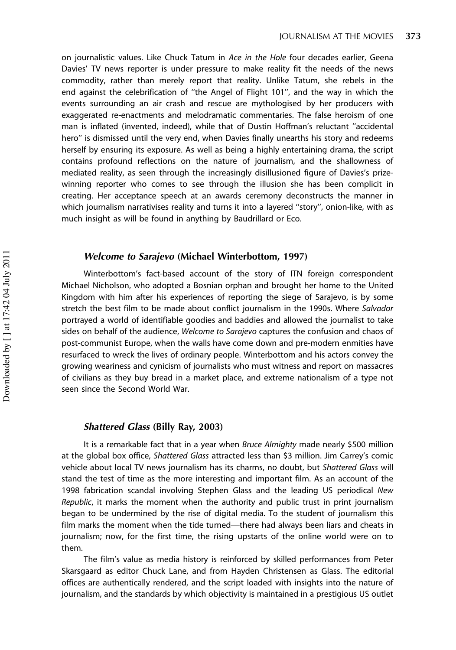on journalistic values. Like Chuck Tatum in Ace in the Hole four decades earlier, Geena Davies' TV news reporter is under pressure to make reality fit the needs of the news commodity, rather than merely report that reality. Unlike Tatum, she rebels in the end against the celebrification of ''the Angel of Flight 101'', and the way in which the events surrounding an air crash and rescue are mythologised by her producers with exaggerated re-enactments and melodramatic commentaries. The false heroism of one man is inflated (invented, indeed), while that of Dustin Hoffman's reluctant ''accidental hero'' is dismissed until the very end, when Davies finally unearths his story and redeems herself by ensuring its exposure. As well as being a highly entertaining drama, the script contains profound reflections on the nature of journalism, and the shallowness of mediated reality, as seen through the increasingly disillusioned figure of Davies's prizewinning reporter who comes to see through the illusion she has been complicit in creating. Her acceptance speech at an awards ceremony deconstructs the manner in which journalism narrativises reality and turns it into a layered ''story'', onion-like, with as much insight as will be found in anything by Baudrillard or Eco.

#### Welcome to Sarajevo (Michael Winterbottom, 1997)

Winterbottom's fact-based account of the story of ITN foreign correspondent Michael Nicholson, who adopted a Bosnian orphan and brought her home to the United Kingdom with him after his experiences of reporting the siege of Sarajevo, is by some stretch the best film to be made about conflict journalism in the 1990s. Where Salvador portrayed a world of identifiable goodies and baddies and allowed the journalist to take sides on behalf of the audience, Welcome to Sarajevo captures the confusion and chaos of post-communist Europe, when the walls have come down and pre-modern enmities have resurfaced to wreck the lives of ordinary people. Winterbottom and his actors convey the growing weariness and cynicism of journalists who must witness and report on massacres of civilians as they buy bread in a market place, and extreme nationalism of a type not seen since the Second World War.

#### Shattered Glass (Billy Ray, 2003)

It is a remarkable fact that in a year when Bruce Almighty made nearly \$500 million at the global box office, Shattered Glass attracted less than \$3 million. Jim Carrey's comic vehicle about local TV news journalism has its charms, no doubt, but Shattered Glass will stand the test of time as the more interesting and important film. As an account of the 1998 fabrication scandal involving Stephen Glass and the leading US periodical New Republic, it marks the moment when the authority and public trust in print journalism began to be undermined by the rise of digital media. To the student of journalism this film marks the moment when the tide turned—there had always been liars and cheats in journalism; now, for the first time, the rising upstarts of the online world were on to them.

The film's value as media history is reinforced by skilled performances from Peter Skarsgaard as editor Chuck Lane, and from Hayden Christensen as Glass. The editorial offices are authentically rendered, and the script loaded with insights into the nature of journalism, and the standards by which objectivity is maintained in a prestigious US outlet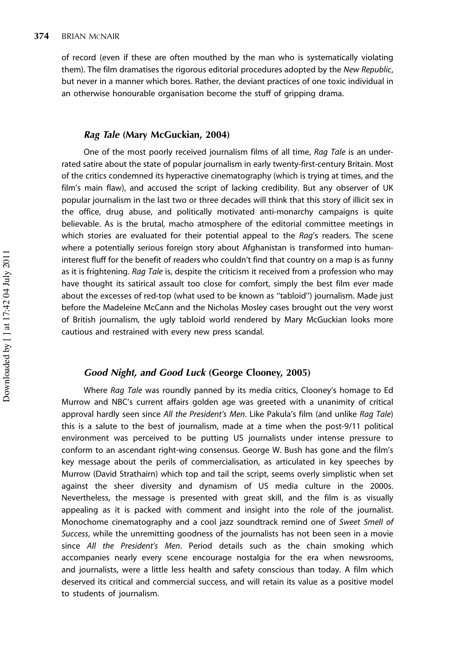of record (even if these are often mouthed by the man who is systematically violating them). The film dramatises the rigorous editorial procedures adopted by the New Republic. but never in a manner which bores. Rather, the deviant practices of one toxic individual in an otherwise honourable organisation become the stuff of gripping drama.

#### Rag Tale (Mary McGuckian, 2004)

One of the most poorly received journalism films of all time, Raq Tale is an underrated satire about the state of popular journalism in early twenty-first-century Britain. Most of the critics condemned its hyperactive cinematography (which is trying at times, and the film's main flaw), and accused the script of lacking credibility. But any observer of UK popular journalism in the last two or three decades will think that this story of illicit sex in the office, drug abuse, and politically motivated anti-monarchy campaigns is quite believable. As is the brutal, macho atmosphere of the editorial committee meetings in which stories are evaluated for their potential appeal to the Raa's readers. The scene where a potentially serious foreign story about Afghanistan is transformed into humaninterest fluff for the benefit of readers who couldn't find that country on a map is as funny as it is frightening. Rag Tale is, despite the criticism it received from a profession who may have thought its satirical assault too close for comfort, simply the best film ever made about the excesses of red-top (what used to be known as ''tabloid'') journalism. Made just before the Madeleine McCann and the Nicholas Mosley cases brought out the very worst of British journalism, the ugly tabloid world rendered by Mary McGuckian looks more cautious and restrained with every new press scandal.

#### Good Night, and Good Luck (George Clooney, 2005)

Where Rag Tale was roundly panned by its media critics, Clooney's homage to Ed Murrow and NBC's current affairs golden age was greeted with a unanimity of critical approval hardly seen since All the President's Men. Like Pakula's film (and unlike Rag Tale) this is a salute to the best of journalism, made at a time when the post-9/11 political environment was perceived to be putting US journalists under intense pressure to conform to an ascendant right-wing consensus. George W. Bush has gone and the film's key message about the perils of commercialisation, as articulated in key speeches by Murrow (David Strathairn) which top and tail the script, seems overly simplistic when set against the sheer diversity and dynamism of US media culture in the 2000s. Nevertheless, the message is presented with great skill, and the film is as visually appealing as it is packed with comment and insight into the role of the journalist. Monochome cinematography and a cool jazz soundtrack remind one of Sweet Smell of Success, while the unremitting goodness of the journalists has not been seen in a movie since All the President's Men. Period details such as the chain smoking which accompanies nearly every scene encourage nostalgia for the era when newsrooms, and journalists, were a little less health and safety conscious than today. A film which deserved its critical and commercial success, and will retain its value as a positive model to students of journalism.